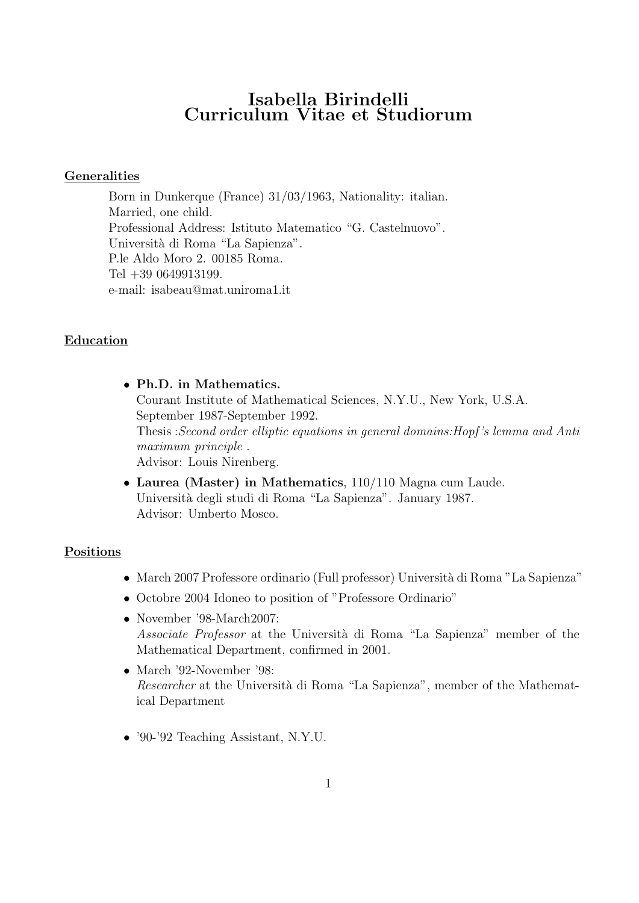# Isabella Birindelli Curriculum Vitae et Studiorum

### Generalities

Born in Dunkerque (France) 31/03/1963, Nationality: italian. Married, one child. Professional Address: Istituto Matematico "G. Castelnuovo". Università di Roma "La Sapienza". P.le Aldo Moro 2. 00185 Roma. Tel +39 0649913199. e-mail: isabeau@mat.uniroma1.it

## Education

- Ph.D. in Mathematics. Courant Institute of Mathematical Sciences, N.Y.U., New York, U.S.A. September 1987-September 1992. Thesis :Second order elliptic equations in general domains:Hopf 's lemma and Anti maximum principle. Advisor: Louis Nirenberg.
- Laurea (Master) in Mathematics, 110/110 Magna cum Laude. Universit`a degli studi di Roma "La Sapienza". January 1987. Advisor: Umberto Mosco.

### Positions

- March 2007 Professore ordinario (Full professor) Universit`a di Roma "La Sapienza"
- Octobre 2004 Idoneo to position of "Professore Ordinario"
- November '98-March2007: Associate Professor at the Università di Roma "La Sapienza" member of the Mathematical Department, confirmed in 2001.
- March '92-November '98: Researcher at the Università di Roma "La Sapienza", member of the Mathematical Department
- '90-'92 Teaching Assistant, N.Y.U.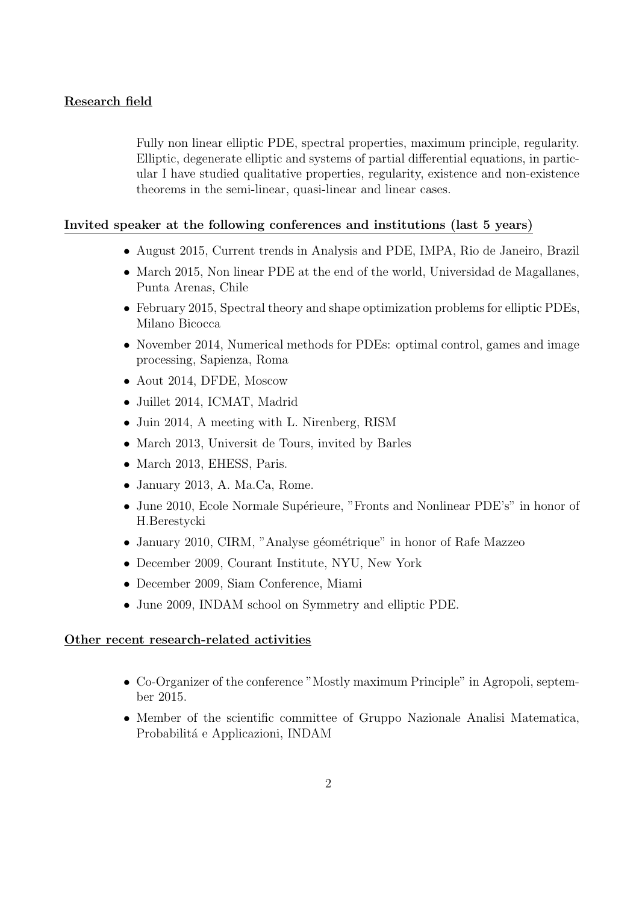# Research field

Fully non linear elliptic PDE, spectral properties, maximum principle, regularity. Elliptic, degenerate elliptic and systems of partial differential equations, in particular I have studied qualitative properties, regularity, existence and non-existence theorems in the semi-linear, quasi-linear and linear cases.

### Invited speaker at the following conferences and institutions (last 5 years)

- August 2015, Current trends in Analysis and PDE, IMPA, Rio de Janeiro, Brazil
- March 2015, Non linear PDE at the end of the world, Universidad de Magallanes, Punta Arenas, Chile
- February 2015, Spectral theory and shape optimization problems for elliptic PDEs, Milano Bicocca
- November 2014, Numerical methods for PDEs: optimal control, games and image processing, Sapienza, Roma
- Aout 2014, DFDE, Moscow
- Juillet 2014, ICMAT, Madrid
- Juin 2014, A meeting with L. Nirenberg, RISM
- March 2013, Universit de Tours, invited by Barles
- March 2013, EHESS, Paris.
- January 2013, A. Ma.Ca, Rome.
- June 2010, Ecole Normale Supérieure, "Fronts and Nonlinear PDE's" in honor of H.Berestycki
- January 2010, CIRM, "Analyse géométrique" in honor of Rafe Mazzeo
- December 2009, Courant Institute, NYU, New York
- December 2009, Siam Conference, Miami
- June 2009, INDAM school on Symmetry and elliptic PDE.

### Other recent research-related activities

- Co-Organizer of the conference "Mostly maximum Principle" in Agropoli, september 2015.
- Member of the scientific committee of Gruppo Nazionale Analisi Matematica, Probabilitá e Applicazioni, INDAM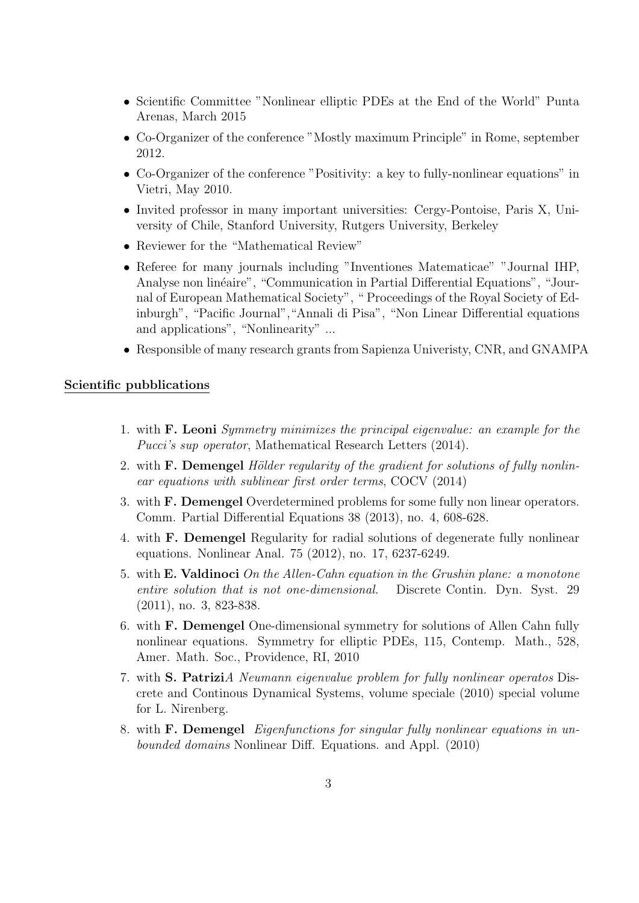- Scientific Committee "Nonlinear elliptic PDEs at the End of the World" Punta Arenas, March 2015
- Co-Organizer of the conference "Mostly maximum Principle" in Rome, september 2012.
- Co-Organizer of the conference "Positivity: a key to fully-nonlinear equations" in Vietri, May 2010.
- Invited professor in many important universities: Cergy-Pontoise, Paris X, University of Chile, Stanford University, Rutgers University, Berkeley
- Reviewer for the "Mathematical Review"
- Referee for many journals including "Inventiones Matematicae" "Journal IHP, Analyse non linéaire", "Communication in Partial Differential Equations", "Journal of European Mathematical Society", " Proceedings of the Royal Society of Edinburgh", "Pacific Journal","Annali di Pisa", "Non Linear Differential equations and applications", "Nonlinearity" ...
- Responsible of many research grants from Sapienza Univeristy, CNR, and GNAMPA

#### Scientific pubblications

- 1. with F. Leoni Symmetry minimizes the principal eigenvalue: an example for the Pucci's sup operator, Mathematical Research Letters (2014).
- 2. with F. Demengel Hölder regularity of the gradient for solutions of fully nonlinear equations with sublinear first order terms, COCV (2014)
- 3. with F. Demengel Overdetermined problems for some fully non linear operators. Comm. Partial Differential Equations 38 (2013), no. 4, 608-628.
- 4. with F. Demengel Regularity for radial solutions of degenerate fully nonlinear equations. Nonlinear Anal. 75 (2012), no. 17, 6237-6249.
- 5. with E. Valdinoci On the Allen-Cahn equation in the Grushin plane: a monotone entire solution that is not one-dimensional. Discrete Contin. Dyn. Syst. 29 (2011), no. 3, 823-838.
- 6. with F. Demengel One-dimensional symmetry for solutions of Allen Cahn fully nonlinear equations. Symmetry for elliptic PDEs, 115, Contemp. Math., 528, Amer. Math. Soc., Providence, RI, 2010
- 7. with S. PatriziA Neumann eigenvalue problem for fully nonlinear operatos Discrete and Continous Dynamical Systems, volume speciale (2010) special volume for L. Nirenberg.
- 8. with F. Demengel Eigenfunctions for singular fully nonlinear equations in unbounded domains Nonlinear Diff. Equations. and Appl. (2010)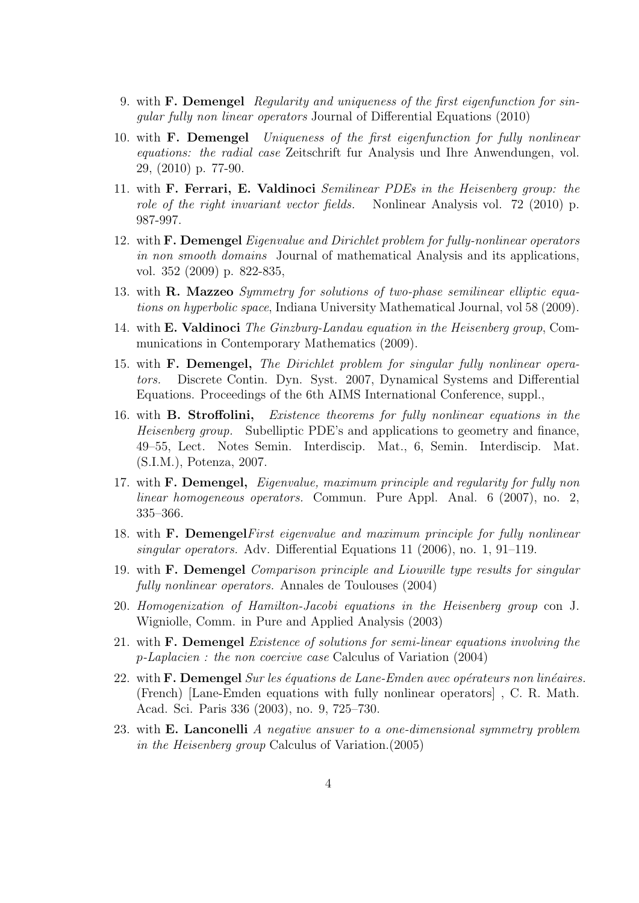- 9. with F. Demengel Regularity and uniqueness of the first eigenfunction for singular fully non linear operators Journal of Differential Equations (2010)
- 10. with F. Demengel Uniqueness of the first eigenfunction for fully nonlinear equations: the radial case Zeitschrift fur Analysis und Ihre Anwendungen, vol. 29, (2010) p. 77-90.
- 11. with F. Ferrari, E. Valdinoci Semilinear PDEs in the Heisenberg group: the role of the right invariant vector fields. Nonlinear Analysis vol. 72 (2010) p. 987-997.
- 12. with F. Demengel Eigenvalue and Dirichlet problem for fully-nonlinear operators in non smooth domains Journal of mathematical Analysis and its applications, vol. 352 (2009) p. 822-835,
- 13. with R. Mazzeo Symmetry for solutions of two-phase semilinear elliptic equations on hyperbolic space, Indiana University Mathematical Journal, vol 58 (2009).
- 14. with E. Valdinoci The Ginzburg-Landau equation in the Heisenberg group, Communications in Contemporary Mathematics (2009).
- 15. with F. Demengel, The Dirichlet problem for singular fully nonlinear operators. Discrete Contin. Dyn. Syst. 2007, Dynamical Systems and Differential Equations. Proceedings of the 6th AIMS International Conference, suppl.,
- 16. with B. Stroffolini, Existence theorems for fully nonlinear equations in the Heisenberg group. Subelliptic PDE's and applications to geometry and finance, 49–55, Lect. Notes Semin. Interdiscip. Mat., 6, Semin. Interdiscip. Mat. (S.I.M.), Potenza, 2007.
- 17. with F. Demengel, Eigenvalue, maximum principle and regularity for fully non linear homogeneous operators. Commun. Pure Appl. Anal. 6 (2007), no. 2, 335–366.
- 18. with F. DemengelFirst eigenvalue and maximum principle for fully nonlinear singular operators. Adv. Differential Equations 11 (2006), no. 1, 91–119.
- 19. with F. Demengel Comparison principle and Liouville type results for singular fully nonlinear operators. Annales de Toulouses (2004)
- 20. Homogenization of Hamilton-Jacobi equations in the Heisenberg group con J. Wigniolle, Comm. in Pure and Applied Analysis (2003)
- 21. with F. Demengel Existence of solutions for semi-linear equations involving the p-Laplacien : the non coercive case Calculus of Variation (2004)
- 22. with  $$ (French) [Lane-Emden equations with fully nonlinear operators] , C. R. Math. Acad. Sci. Paris 336 (2003), no. 9, 725–730.
- 23. with **E. Lanconelli** A negative answer to a one-dimensional symmetry problem in the Heisenberg group Calculus of Variation.(2005)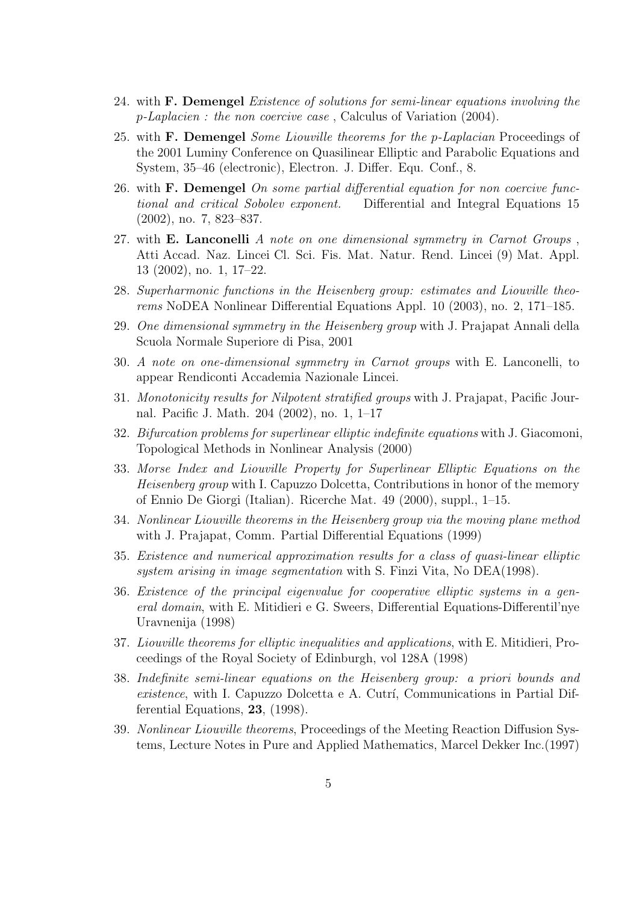- 24. with F. Demengel Existence of solutions for semi-linear equations involving the p-Laplacien : the non coercive case , Calculus of Variation (2004).
- 25. with F. Demengel Some Liouville theorems for the p-Laplacian Proceedings of the 2001 Luminy Conference on Quasilinear Elliptic and Parabolic Equations and System, 35–46 (electronic), Electron. J. Differ. Equ. Conf., 8.
- 26. with  **<b>Demengel** On some partial differential equation for non coercive functional and critical Sobolev exponent. Differential and Integral Equations 15 (2002), no. 7, 823–837.
- 27. with **E. Lanconelli** A note on one dimensional symmetry in Carnot Groups, Atti Accad. Naz. Lincei Cl. Sci. Fis. Mat. Natur. Rend. Lincei (9) Mat. Appl. 13 (2002), no. 1, 17–22.
- 28. Superharmonic functions in the Heisenberg group: estimates and Liouville theorems NoDEA Nonlinear Differential Equations Appl. 10 (2003), no. 2, 171–185.
- 29. One dimensional symmetry in the Heisenberg group with J. Prajapat Annali della Scuola Normale Superiore di Pisa, 2001
- 30. A note on one-dimensional symmetry in Carnot groups with E. Lanconelli, to appear Rendiconti Accademia Nazionale Lincei.
- 31. Monotonicity results for Nilpotent stratified groups with J. Prajapat, Pacific Journal. Pacific J. Math. 204 (2002), no. 1, 1–17
- 32. Bifurcation problems for superlinear elliptic indefinite equations with J. Giacomoni, Topological Methods in Nonlinear Analysis (2000)
- 33. Morse Index and Liouville Property for Superlinear Elliptic Equations on the Heisenberg group with I. Capuzzo Dolcetta, Contributions in honor of the memory of Ennio De Giorgi (Italian). Ricerche Mat. 49 (2000), suppl., 1–15.
- 34. Nonlinear Liouville theorems in the Heisenberg group via the moving plane method with J. Prajapat, Comm. Partial Differential Equations (1999)
- 35. Existence and numerical approximation results for a class of quasi-linear elliptic system arising in image segmentation with S. Finzi Vita, No DEA(1998).
- 36. Existence of the principal eigenvalue for cooperative elliptic systems in a general domain, with E. Mitidieri e G. Sweers, Differential Equations-Differentil'nye Uravnenija (1998)
- 37. Liouville theorems for elliptic inequalities and applications, with E. Mitidieri, Proceedings of the Royal Society of Edinburgh, vol 128A (1998)
- 38. Indefinite semi-linear equations on the Heisenberg group: a priori bounds and existence, with I. Capuzzo Dolcetta e A. Cutrí, Communications in Partial Differential Equations, 23, (1998).
- 39. Nonlinear Liouville theorems, Proceedings of the Meeting Reaction Diffusion Systems, Lecture Notes in Pure and Applied Mathematics, Marcel Dekker Inc.(1997)